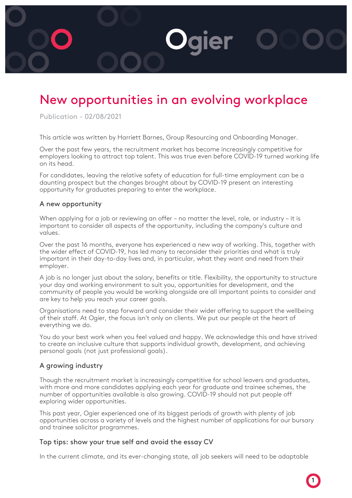

# New opportunities in an evolving workplace

Publication - 02/08/2021

This article was written by Harriett Barnes, Group Resourcing and Onboarding Manager.

Over the past few years, the recruitment market has become increasingly competitive for employers looking to attract top talent. This was true even before COVID-19 turned working life on its head.

For candidates, leaving the relative safety of education for full-time employment can be a daunting prospect but the changes brought about by COVID-19 present an interesting opportunity for graduates preparing to enter the workplace.

#### A new opportunity

When applying for a job or reviewing an offer – no matter the level, role, or industry – it is important to consider all aspects of the opportunity, including the company's culture and values.

Over the past 16 months, everyone has experienced a new way of working. This, together with the wider effect of COVID-19, has led many to reconsider their priorities and what is truly important in their day-to-day lives and, in particular, what they want and need from their employer.

A job is no longer just about the salary, benefits or title. Flexibility, the opportunity to structure your day and working environment to suit you, opportunities for development, and the community of people you would be working alongside are all important points to consider and are key to help you reach your career goals.

Organisations need to step forward and consider their wider offering to support the wellbeing of their staff. At Ogier, the focus isn't only on clients. We put our people at the heart of everything we do.

You do your best work when you feel valued and happy. We acknowledge this and have strived to create an inclusive culture that supports individual growth, development, and achieving personal goals (not just professional goals).

## A growing industry

Though the recruitment market is increasingly competitive for school leavers and graduates, with more and more candidates applying each year for graduate and trainee schemes, the number of opportunities available is also growing. COVID-19 should not put people off exploring wider opportunities.

This past year, Ogier experienced one of its biggest periods of growth with plenty of job opportunities across a variety of levels and the highest number of applications for our bursary and trainee solicitor programmes.

## Top tips: show your true self and avoid the essay CV

In the current climate, and its ever-changing state, all job seekers will need to be adaptable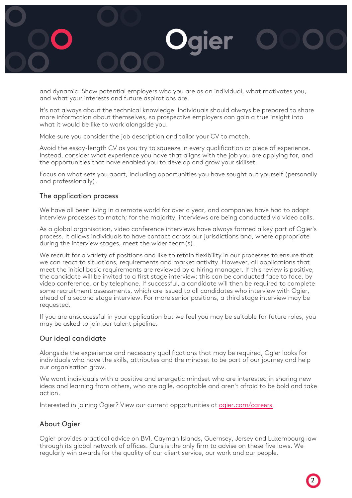

and dynamic. Show potential employers who you are as an individual, what motivates you, and what your interests and future aspirations are.

It's not always about the technical knowledge. Individuals should always be prepared to share more information about themselves, so prospective employers can gain a true insight into what it would be like to work alongside you.

Make sure you consider the job description and tailor your CV to match.

Avoid the essay-length CV as you try to squeeze in every qualification or piece of experience. Instead, consider what experience you have that aligns with the job you are applying for, and the opportunities that have enabled you to develop and grow your skillset.

Focus on what sets you apart, including opportunities you have sought out yourself (personally and professionally).

# The application process

We have all been living in a remote world for over a year, and companies have had to adapt interview processes to match; for the majority, interviews are being conducted via video calls.

As a global organisation, video conference interviews have always formed a key part of Ogier's process. It allows individuals to have contact across our jurisdictions and, where appropriate during the interview stages, meet the wider team(s).

We recruit for a variety of positions and like to retain flexibility in our processes to ensure that we can react to situations, requirements and market activity. However, all applications that meet the initial basic requirements are reviewed by a hiring manager. If this review is positive, the candidate will be invited to a first stage interview; this can be conducted face to face, by video conference, or by telephone. If successful, a candidate will then be required to complete some recruitment assessments, which are issued to all candidates who interview with Ogier, ahead of a second stage interview. For more senior positions, a third stage interview may be requested.

If you are unsuccessful in your application but we feel you may be suitable for future roles, you may be asked to join our talent pipeline.

## Our ideal candidate

Alongside the experience and necessary qualifications that may be required, Ogier looks for individuals who have the skills, attributes and the mindset to be part of our journey and help our organisation grow.

We want individuals with a positive and energetic mindset who are interested in sharing new ideas and learning from others, who are agile, adaptable and aren't afraid to be bold and take action.

Interested in joining Ogier? View our current opportunities at [ogier.com/careers](https://www.ogier.com/Careers)

# About Ogier

Ogier provides practical advice on BVI, Cayman Islands, Guernsey, Jersey and Luxembourg law through its global network of offices. Ours is the only firm to advise on these five laws. We regularly win awards for the quality of our client service, our work and our people.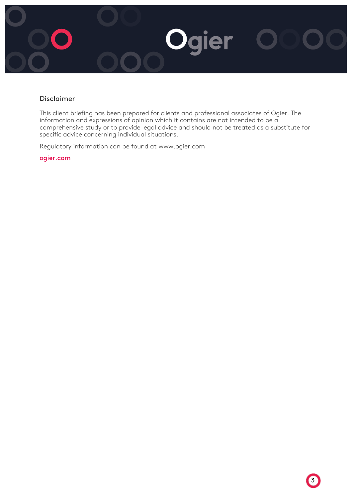

# Disclaimer

This client briefing has been prepared for clients and professional associates of Ogier. The information and expressions of opinion which it contains are not intended to be a comprehensive study or to provide legal advice and should not be treated as a substitute for specific advice concerning individual situations.

Regulatory information can be found at [www.ogier.com](http://www.ogier.com/)

ogier.com